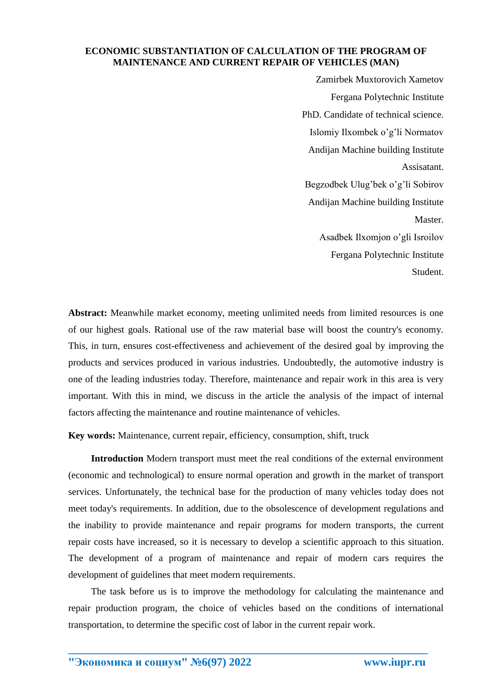### **ECONOMIC SUBSTANTIATION OF CALCULATION OF THE PROGRAM OF MAINTENANCE AND CURRENT REPAIR OF VEHICLES (MAN)**

Zamirbek Muxtorovich Xametov Fergana Polytechnic Institute PhD. Candidate of technical science. Islomiy Ilxombek o'g'li Normatov Andijan Machine building Institute Assisatant. Begzodbek Ulug'bek o'g'li Sobirov Andijan Machine building Institute Master. Asadbek Ilxomjon o'gli Isroilov Fergana Polytechnic Institute Student.

**Abstract:** Meanwhile market economy, meeting unlimited needs from limited resources is one of our highest goals. Rational use of the raw material base will boost the country's economy. This, in turn, ensures cost-effectiveness and achievement of the desired goal by improving the products and services produced in various industries. Undoubtedly, the automotive industry is one of the leading industries today. Therefore, maintenance and repair work in this area is very important. With this in mind, we discuss in the article the analysis of the impact of internal factors affecting the maintenance and routine maintenance of vehicles.

**Key words:** Maintenance, current repair, efficiency, consumption, shift, truck

**Introduction** Modern transport must meet the real conditions of the external environment (economic and technological) to ensure normal operation and growth in the market of transport services. Unfortunately, the technical base for the production of many vehicles today does not meet today's requirements. In addition, due to the obsolescence of development regulations and the inability to provide maintenance and repair programs for modern transports, the current repair costs have increased, so it is necessary to develop a scientific approach to this situation. The development of a program of maintenance and repair of modern cars requires the development of guidelines that meet modern requirements.

The task before us is to improve the methodology for calculating the maintenance and repair production program, the choice of vehicles based on the conditions of international transportation, to determine the specific cost of labor in the current repair work.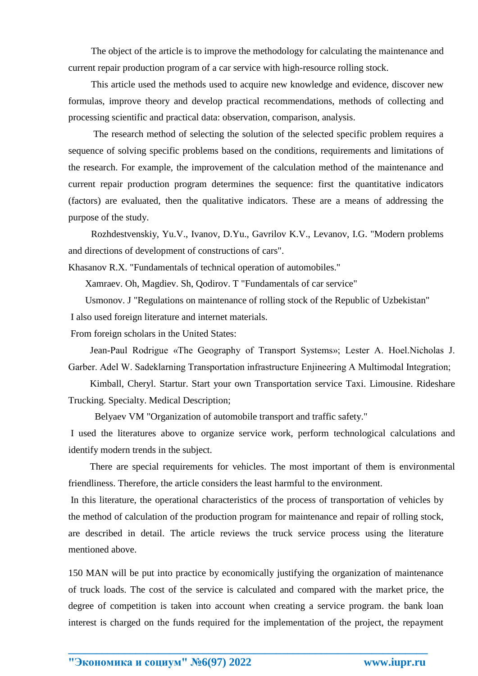The object of the article is to improve the methodology for calculating the maintenance and current repair production program of a car service with high-resource rolling stock.

This article used the methods used to acquire new knowledge and evidence, discover new formulas, improve theory and develop practical recommendations, methods of collecting and processing scientific and practical data: observation, comparison, analysis.

The research method of selecting the solution of the selected specific problem requires a sequence of solving specific problems based on the conditions, requirements and limitations of the research. For example, the improvement of the calculation method of the maintenance and current repair production program determines the sequence: first the quantitative indicators (factors) are evaluated, then the qualitative indicators. These are a means of addressing the purpose of the study.

Rozhdestvenskiy, Yu.V., Ivanov, D.Yu., Gavrilov K.V., Levanov, I.G. "Modern problems and directions of development of constructions of cars".

Khasanov R.X. "Fundamentals of technical operation of automobiles."

Xamraev. Oh, Magdiev. Sh, Qodirov. T "Fundamentals of car service"

 Usmonov. J "Regulations on maintenance of rolling stock of the Republic of Uzbekistan" I also used foreign literature and internet materials.

From foreign scholars in the United States:

 Jean-Paul Rodrigue «The Geography of Transport Systems»; Lester A. Hoel.Nicholas J. Garber. Adel W. Sadeklаrning Transportation infrastructure Enjineering A Multimodal Integration;

 Kimball, Cheryl. Startur. Start your own Transportation service Taxi. Limousine. Rideshare Trucking. Specialty. Medical Description;

Belyaev VM "Organization of automobile transport and traffic safety."

I used the literatures above to organize service work, perform technological calculations and identify modern trends in the subject.

 There are special requirements for vehicles. The most important of them is environmental friendliness. Therefore, the article considers the least harmful to the environment.

In this literature, the operational characteristics of the process of transportation of vehicles by the method of calculation of the production program for maintenance and repair of rolling stock, are described in detail. The article reviews the truck service process using the literature mentioned above.

150 MAN will be put into practice by economically justifying the organization of maintenance of truck loads. The cost of the service is calculated and compared with the market price, the degree of competition is taken into account when creating a service program. the bank loan interest is charged on the funds required for the implementation of the project, the repayment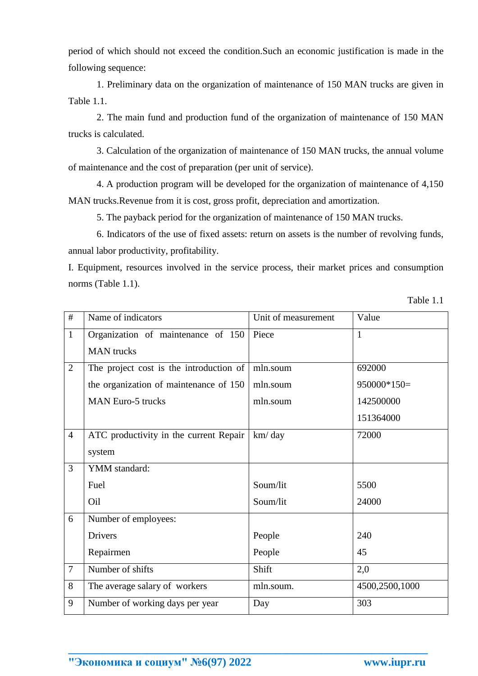period of which should not exceed the condition.Such an economic justification is made in the following sequence:

1. Preliminary data on the organization of maintenance of 150 MAN trucks are given in Table 1.1.

2. The main fund and production fund of the organization of maintenance of 150 MAN trucks is calculated.

3. Calculation of the organization of maintenance of 150 MAN trucks, the annual volume of maintenance and the cost of preparation (per unit of service).

4. A production program will be developed for the organization of maintenance of 4,150 MAN trucks.Revenue from it is cost, gross profit, depreciation and amortization.

5. The payback period for the organization of maintenance of 150 MAN trucks.

6. Indicators of the use of fixed assets: return on assets is the number of revolving funds, annual labor productivity, profitability.

I. Equipment, resources involved in the service process, their market prices and consumption norms (Table 1.1).

Table 1.1

| #              | Name of indicators                      | Unit of measurement | Value          |
|----------------|-----------------------------------------|---------------------|----------------|
| $\mathbf{1}$   | Organization of maintenance of 150      | Piece               | $\mathbf{1}$   |
|                | <b>MAN</b> trucks                       |                     |                |
| $\overline{2}$ | The project cost is the introduction of | mln.soum            | 692000         |
|                | the organization of maintenance of 150  | mln.soum            | $950000*150=$  |
|                | <b>MAN Euro-5 trucks</b>                | mln.soum            | 142500000      |
|                |                                         |                     | 151364000      |
| $\overline{4}$ | ATC productivity in the current Repair  | km/day              | 72000          |
|                | system                                  |                     |                |
| $\overline{3}$ | YMM standard:                           |                     |                |
|                | Fuel                                    | Soum/lit            | 5500           |
|                | Oil                                     | Soum/lit            | 24000          |
| 6              | Number of employees:                    |                     |                |
|                | Drivers                                 | People              | 240            |
|                | Repairmen                               | People              | 45             |
| $\overline{7}$ | Number of shifts                        | Shift               | 2,0            |
| 8              | The average salary of workers           | mln.soum.           | 4500,2500,1000 |
| 9              | Number of working days per year         | Day                 | 303            |

**\_\_\_\_\_\_\_\_\_\_\_\_\_\_\_\_\_\_\_\_\_\_\_\_\_\_\_\_\_\_\_\_\_\_\_\_\_\_\_\_\_\_\_\_\_\_\_\_\_\_\_\_\_\_\_\_\_\_\_\_\_\_\_\_**

**"Экономика и социум" №6(97) 2022 www.iupr.ru**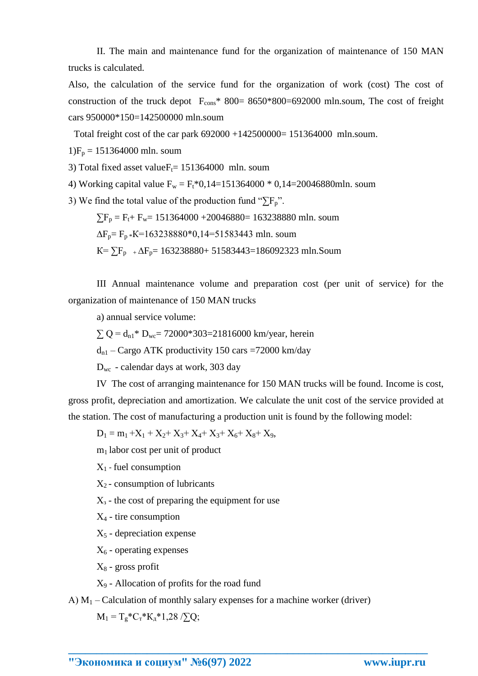II. The main and maintenance fund for the organization of maintenance of 150 MAN trucks is calculated.

Also, the calculation of the service fund for the organization of work (cost) The cost of construction of the truck depot  $F_{\text{cons}}$   $*$  800 = 8650 $*$ 800 = 692000 mln.soum, The cost of freight cars 950000\*150=142500000 mln.soum

Total freight cost of the car park  $692000 +142500000= 151364000$  mln.soum.

 $1)F_p = 151364000$  mln. soum

3) Total fixed asset value $F_t$ = 151364000 mln. soum

4) Working capital value  $F_w = F_t * 0,14=151364000 * 0,14=20046880$ mln. soum

3) We find the total value of the production fund " $\sum F_p$ ".

 $\sum F_p = F_t + F_w = 151364000 + 20046880 = 163238880$  mln. soum

 $\Delta F_p = F_p * K = 163238880 * 0,14 = 51583443$  mln. soum

 $K = \sum F_{p}$  +  $\Delta F_{p}$ = 163238880+ 51583443=186092323 mln.Soum

III Annual maintenance volume and preparation cost (per unit of service) for the organization of maintenance of 150 MAN trucks

a) annual service volume:

 $\sum Q = d_{n1}$ \* D<sub>wc</sub>= 72000\*303=21816000 km/year, herein

 $d_{n1}$  – Cargo ATK productivity 150 cars =72000 km/day

Dwc - calendar days at work, 303 day

IV The cost of arranging maintenance for 150 MAN trucks will be found. Income is cost, gross profit, depreciation and amortization. We calculate the unit cost of the service provided at the station. The cost of manufacturing a production unit is found by the following model:

 $D_1 = m_1 + X_1 + X_2 + X_3 + X_4 + X_3 + X_6 + X_8 + X_9$ 

 $m_1$  labor cost per unit of product

 $X_1$  - fuel consumption

 $X_2$  - consumption of lubricants

 $X<sub>3</sub>$  - the cost of preparing the equipment for use

 $X_4$  - tire consumption

 $X<sub>5</sub>$  - depreciation expense

 $X_6$  - operating expenses

 $X_8$  - gross profit

 $X<sub>9</sub>$  - Allocation of profits for the road fund

A)  $M_1$  – Calculation of monthly salary expenses for a machine worker (driver)

**\_\_\_\_\_\_\_\_\_\_\_\_\_\_\_\_\_\_\_\_\_\_\_\_\_\_\_\_\_\_\_\_\_\_\_\_\_\_\_\_\_\_\_\_\_\_\_\_\_\_\_\_\_\_\_\_\_\_\_\_\_\_\_\_**

 $M_1 = T_g * C_T * K_{\pi} * 1,28 / \sum Q;$ 

**"Экономика и социум" №6(97) 2022 www.iupr.ru**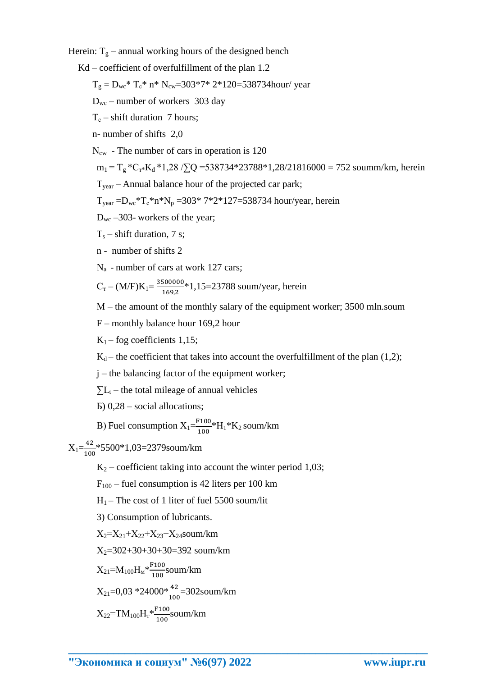Herein:  $T_g$  – annual working hours of the designed bench

 $Kd$  – coefficient of overfulfillment of the plan 1.2

 $T_e = D_{wc}$  \*  $T_c$  \*  $n$  \*  $N_{cw} = 303$  \* 7 \* 2 \* 120 = 538734 hour/ year

 $D_{wc}$  – number of workers 303 day

 $T_c$  – shift duration 7 hours;

n- number of shifts 2,0

 $N_{\rm cw}$  - The number of cars in operation is 120

 $m_1 = T_g * C_{T} * K_d * 1,28$  / $\Sigma Q = 538734 * 23788 * 1,28/21816000 = 752$  soumm/km, herein

 $T_{\text{year}}$  – Annual balance hour of the projected car park;

 $T_{year} = D_{wc} * T_c * n * N_p = 303 * 7 * 2 * 127 = 538734$  hour/year, herein

 $D_{wc}$  –303- workers of the year;

 $T_s$  – shift duration, 7 s;

n - number of shifts 2

 $N_a$  - number of cars at work 127 cars;

 $C_{\rm T} - (M/F)K_1 = \frac{3500000}{1692} * 1,15 = 23788$  soum/year, herein

M – the amount of the monthly salary of the equipment worker; 3500 mln.soum

 $F$  – monthly balance hour 169,2 hour

 $K_1$  – fog coefficients 1,15;

 $K_d$  – the coefficient that takes into account the overfulfillment of the plan (1,2);

 $i$  – the balancing factor of the equipment worker;

 $\sum L_t$  – the total mileage of annual vehicles

 $E(0, 28 - social\ allocations)$ 

B) Fuel consumption  $X_1 = \frac{F100}{100} * H_1 * K_2$  soum/km

 $X_1 = \frac{42}{100}$  \* 5500 \* 1,03=2379 soum/km

 $K_2$  – coefficient taking into account the winter period 1,03;

 $F_{100}$  – fuel consumption is 42 liters per 100 km

 $H_1$  – The cost of 1 liter of fuel 5500 soum/lit

3) Consumption of lubricants.

 $X_2 = X_{21} + X_{22} + X_{23} + X_{24}$ soum/km

 $X_2=302+30+30+30=392$  soum/km

$$
X_{21} = M_{100} H_{M} * \frac{F100}{100} \text{soum/km}
$$

$$
X_{21}=0.03*24000*\frac{42}{100}=302\text{soum/km}
$$

$$
X_{22} = TM_{100}H_{\rm T} * \frac{F_{100}}{100} \text{s} \text{oum/km}
$$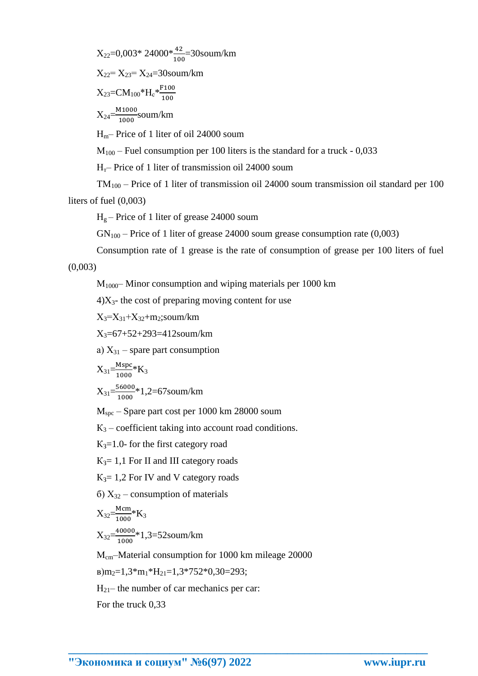$$
X_{22}=0.003*24000* \frac{42}{100}=30
$$
soum/km

 $X_{22} = X_{23} = X_{24} = 30$ soum/km

$$
X_{23} = CM_{100} * H_c * \frac{F_{100}}{100}
$$

 $X_{24} = \frac{M1000}{1000}$ soum/km

 $H_m$ – Price of 1 liter of oil 24000 soum

 $M_{100}$  – Fuel consumption per 100 liters is the standard for a truck - 0,033

 $H<sub>r</sub>$ - Price of 1 liter of transmission oil 24000 soum

 $TM_{100}$  – Price of 1 liter of transmission oil 24000 soum transmission oil standard per 100 liters of fuel  $(0.003)$ 

 $H<sub>g</sub>$  – Price of 1 liter of grease 24000 soum

 $GN_{100}$  – Price of 1 liter of grease 24000 soum grease consumption rate (0,003)

Consumption rate of 1 grease is the rate of consumption of grease per 100 liters of fuel  $(0,003)$ 

 $M_{1000}$  Minor consumption and wiping materials per 1000 km

 $4)X_3$ - the cost of preparing moving content for use

 $X_3 = X_{31} + X_{32} + m_2$ ;soum/km

 $X_3 = 67 + 52 + 293 = 412$ soum/km

a)  $X_{31}$  – spare part consumption

$$
X_{31} = \frac{Mspc}{1000} * K_3
$$

 $X_{31} = \frac{56000}{1000} * 1,2 = 67$ soum/km

 $M_{\text{spc}}$  – Spare part cost per 1000 km 28000 soum

 $K_3$  – coefficient taking into account road conditions.

 $K_3=1.0$ - for the first category road

 $K_3 = 1,1$  For II and III category roads

 $K_3 = 1,2$  For IV and V category roads

 $(6)$  X<sub>32</sub> – consumption of materials

$$
X_{32} = \frac{Mcm}{1000} * K_3
$$
  

$$
X_{32} = \frac{40000}{1000} * 1, 3 = 52
$$
 sound/km

M<sub>cm</sub>-Material consumption for 1000 km mileage 20000

 $B)m_2=1,3\cdot m_1\cdot H_{21}=1,3\cdot 752\cdot 0,30=293;$ 

 $H_{21}$  the number of car mechanics per car.

For the truck 0.33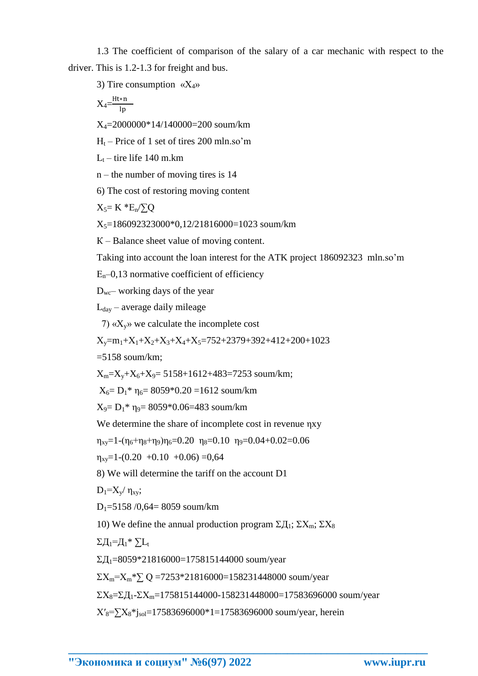1.3 The coefficient of comparison of the salary of a car mechanic with respect to the driver. This is  $1.2$ -1.3 for freight and bus.

3) Tire consumption  $\langle X_4 \rangle$ 

$$
X_4 = \frac{Ht*n}{lp}
$$

 $X_4 = 2000000*14/140000 = 200$  soum/km

 $H_t$  – Price of 1 set of tires 200 mln.so'm

 $L_t$  – tire life 140 m.km

 $n$  – the number of moving tires is 14

6) The cost of restoring moving content

$$
X_5\!\!=K\ ^*E_n\!/\!\!\sum\!\!Q
$$

 $X_5=186092323000*0.12/21816000=1023$  soum/km

 $K -$ Balance sheet value of moving content.

Taking into account the loan interest for the ATK project 186092323 mln.so'm

 $E_n$ –0,13 normative coefficient of efficiency

 $D_{wc}$  working days of the year

 $L_{day}$  – average daily mileage

7)  $\langle X_v \rangle$  we calculate the incomplete cost

 $X_v=m_1+X_1+X_2+X_3+X_4+X_5=752+2379+392+412+200+1023$ 

 $=5158$  soum/km;

 $X_m = X_v + X_6 + X_9 = 5158 + 1612 + 483 = 7253$  soum/km;

 $X_6 = D_1^* \eta_6 = 8059^* 0.20 = 1612$  soum/km

 $X_9 = D_1^* \eta_9 = 8059^*0.06 = 483$  soum/km

We determine the share of incomplete cost in revenue nxy

$$
\eta_{xy} = 1 - (\eta_6 + \eta_8 + \eta_9)\eta_6 = 0.20 \eta_8 = 0.10 \eta_9 = 0.04 + 0.02 = 0.06
$$

 $\eta_{xy} = 1 - (0.20 + 0.10 + 0.06) = 0.64$ 

8) We will determine the tariff on the account D1

 $D_1 = X_v / \eta_{xy}$ ;

 $D_1 = 5158/0.64 = 8059$  soum/km

10) We define the annual production program  $\Sigma \Pi_1$ ;  $\Sigma X_m$ ;  $\Sigma X_8$ 

 $\Sigma \Pi_1 = \Pi_1^* \Sigma \Pi_1$ 

 $\Sigma$ *J*<sub>1</sub>=8059\*21816000=175815144000 soum/year

 $\Sigma X_m = X_m * \sum Q = 7253 * 21816000 = 158231448000$  soum/year

 $\Sigma X_8 = \Sigma \Pi_1 - \Sigma X_m = 175815144000 - 158231448000 = 17583696000$  soum/year

 $X'_8 = \sum X_8 * i_{sol} = 17583696000 * 1 = 17583696000$  soum/year, herein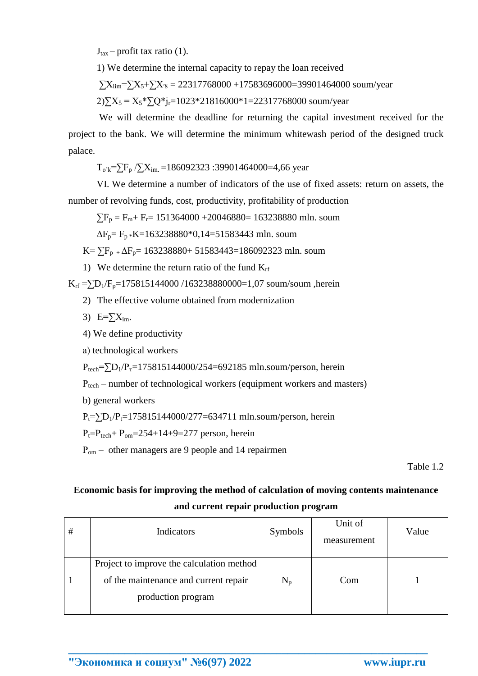$J_{\text{tax}}$  – profit tax ratio (1).

1) We determine the internal capacity to repay the loan received

 $\Sigma X_{\text{lim}} = \Sigma X_5 + \Sigma X_8 = 22317768000 + 17583696000 = 39901464000 \text{ sound/year}$ 

 $2[\sum X_5 = X_5*[\sum Q^*]_1 = 1023*21816000*1 = 22317768000$  soum/year

We will determine the deadline for returning the capital investment received for the project to the bank. We will determine the minimum whitewash period of the designed truck palace.

 $T_{o'k} = \sum F_p / \sum X_{im} = 186092323$ :39901464000=4,66 year

VI. We determine a number of indicators of the use of fixed assets: return on assets, the number of revolving funds, cost, productivity, profitability of production

 $\sum F_p = F_m + F_r = 151364000 + 20046880 = 163238880$  mln. soum

 $\Delta F_p = F_p * K = 163238880 * 0,14 = 51583443$  mln. soum

 $K = \sum F_{p+} \Delta F_{p} = 163238880 + 51583443 = 186092323$  mln. soum

1) We determine the return ratio of the fund  $K_{rf}$ 

 $K_{rf} = \sum D_1/F_p = 175815144000 / 163238880000 = 1,07$  soum/soum ,herein

- 2) The effective volume obtained from modernization
- 3)  $E = \sum X_{im}$ .
- 4) We define productivity

a) technological workers

 $P_{tech} = \sum D_1/P_1 = 175815144000/254 = 692185$  mln.soum/person, herein

 $P_{tech}$  – number of technological workers (equipment workers and masters)

b) general workers

 $P_t = \sum D_1/P_t = 175815144000/277 = 634711$  mln.soum/person, herein

 $P_t = P_{tech} + P_{om} = 254 + 14 + 9 = 277$  person, herein

 $P_{\text{om}}$  – other managers are 9 people and 14 repairmen

Table 1.2

# Economic basis for improving the method of calculation of moving contents maintenance

### and current repair production program

| # | Indicators                                                  | Symbols         | Unit of<br>measurement | Value |
|---|-------------------------------------------------------------|-----------------|------------------------|-------|
|   | Project to improve the calculation method                   |                 |                        |       |
|   | of the maintenance and current repair<br>production program | $\rm N_{\rm p}$ | Com                    |       |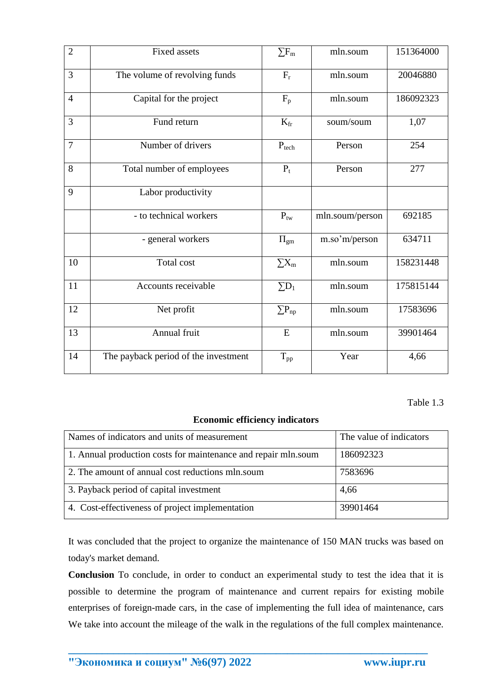| $\overline{2}$ | <b>Fixed assets</b>                  | $\Sigma F_m$    | mln.soum        | 151364000 |
|----------------|--------------------------------------|-----------------|-----------------|-----------|
| 3              | The volume of revolving funds        | $F_r$           | mln.soum        | 20046880  |
| $\overline{4}$ | Capital for the project              | $F_p$           | mln.soum        | 186092323 |
| $\overline{3}$ | Fund return                          | $K_{fr}$        | soum/soum       | 1,07      |
| $\overline{7}$ | Number of drivers                    | $P_{tech}$      | Person          | 254       |
| 8              | Total number of employees            | $P_t$           | Person          | 277       |
| 9              | Labor productivity                   |                 |                 |           |
|                | - to technical workers               | $P_{tw}$        | mln.soum/person | 692185    |
|                | - general workers                    | $\Pi_{gm}$      | m.so'm/person   | 634711    |
| 10             | Total cost                           | $\sum X_m$      | mln.soum        | 158231448 |
| 11             | Accounts receivable                  | $\Sigma D_1$    | mln.soum        | 175815144 |
| 12             | Net profit                           | $\sum P_{np}$   | mln.soum        | 17583696  |
| 13             | Annual fruit                         | E               | mln.soum        | 39901464  |
| 14             | The payback period of the investment | $T_{\text{pp}}$ | Year            | 4,66      |

Table 1.3

## **Economic efficiency indicators**

| Names of indicators and units of measurement                   | The value of indicators |  |
|----------------------------------------------------------------|-------------------------|--|
| 1. Annual production costs for maintenance and repair mln.soum | 186092323               |  |
| 2. The amount of annual cost reductions mln.soum               | 7583696                 |  |
| 3. Payback period of capital investment                        | 4,66                    |  |
| 4. Cost-effectiveness of project implementation                | 39901464                |  |

It was concluded that the project to organize the maintenance of 150 MAN trucks was based on today's market demand.

**Conclusion** To conclude, in order to conduct an experimental study to test the idea that it is possible to determine the program of maintenance and current repairs for existing mobile enterprises of foreign-made cars, in the case of implementing the full idea of maintenance, cars We take into account the mileage of the walk in the regulations of the full complex maintenance.